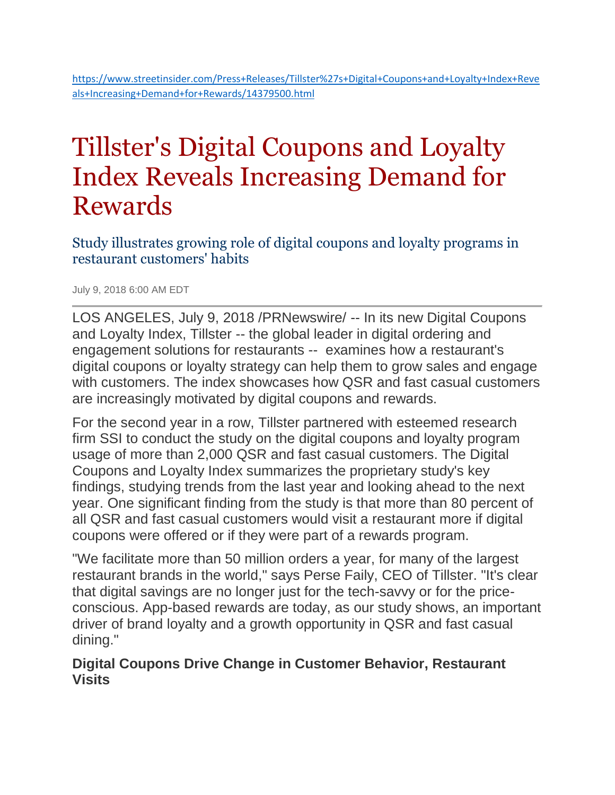# Tillster's Digital Coupons and Loyalty Index Reveals Increasing Demand for Rewards

Study illustrates growing role of digital coupons and loyalty programs in restaurant customers' habits

July 9, 2018 6:00 AM EDT

LOS ANGELES, July 9, 2018 /PRNewswire/ -- In its new Digital Coupons and Loyalty Index, Tillster -- the global leader in digital ordering and engagement solutions for restaurants -- examines how a restaurant's digital coupons or loyalty strategy can help them to grow sales and engage with customers. The index showcases how OSR and fast casual customers are increasingly motivated by digital coupons and rewards.

For the second year in a row, Tillster partnered with esteemed research firm SSI to conduct the study on the digital coupons and loyalty program usage of more than 2,000 QSR and fast casual customers. The Digital Coupons and Loyalty Index summarizes the proprietary study's key findings, studying trends from the last year and looking ahead to the next year. One significant finding from the study is that more than 80 percent of all QSR and fast casual customers would visit a restaurant more if digital coupons were offered or if they were part of a rewards program.

"We facilitate more than 50 million orders a year, for many of the largest restaurant brands in the world," says Perse Faily, CEO of Tillster. "It's clear that digital savings are no longer just for the tech-savvy or for the priceconscious. App-based rewards are today, as our study shows, an important driver of brand loyalty and a growth opportunity in QSR and fast casual dining."

#### **Digital Coupons Drive Change in Customer Behavior, Restaurant Visits**